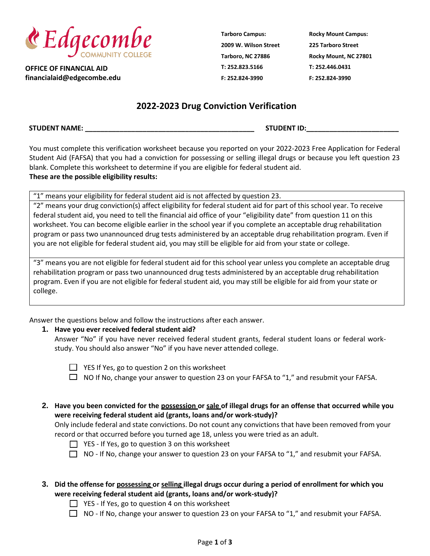

**OFFICE OF FINANCIAL AID financialaid@edgecombe.edu** **Tarboro Campus: 2009 W. Wilson Street Tarboro, NC 27886 T: 252.823.5166 F: 252.824-3990**

**Rocky Mount Campus: 225 Tarboro Street Rocky Mount, NC 27801 T: 252.446.0431 F: 252.824-3990**

## **2022-2023 Drug Conviction Verification**

**STUDENT NAME: \_\_\_\_\_\_\_\_\_\_\_\_\_\_\_\_\_\_\_\_\_\_\_\_\_\_\_\_\_\_\_\_\_\_\_\_\_\_\_\_\_\_\_\_ STUDENT ID:\_\_\_\_\_\_\_\_\_\_\_\_\_\_\_\_\_\_\_\_\_\_\_\_**

You must complete this verification worksheet because you reported on your 2022-2023 Free Application for Federal Student Aid (FAFSA) that you had a conviction for possessing or selling illegal drugs or because you left question 23 blank. Complete this worksheet to determine if you are eligible for federal student aid. **These are the possible eligibility results:**

"1" means your eligibility for federal student aid is not affected by question 23.

"2" means your drug conviction(s) affect eligibility for federal student aid for part of this school year. To receive federal student aid, you need to tell the financial aid office of your "eligibility date" from question 11 on this worksheet. You can become eligible earlier in the school year if you complete an acceptable drug rehabilitation program or pass two unannounced drug tests administered by an acceptable drug rehabilitation program. Even if you are not eligible for federal student aid, you may still be eligible for aid from your state or college.

"3" means you are not eligible for federal student aid for this school year unless you complete an acceptable drug rehabilitation program or pass two unannounced drug tests administered by an acceptable drug rehabilitation program. Even if you are not eligible for federal student aid, you may still be eligible for aid from your state or college.

Answer the questions below and follow the instructions after each answer.

## **1. Have you ever received federal student aid?**

Answer "No" if you have never received federal student grants, federal student loans or federal workstudy. You should also answer "No" if you have never attended college.

 $\Box$  YES If Yes, go to question 2 on this worksheet

 $\Box$  NO If No, change your answer to question 23 on your FAFSA to "1," and resubmit your FAFSA.

**2. Have you been convicted for the possession or sale of illegal drugs for an offense that occurred while you were receiving federal student aid (grants, loans and/or work-study)?**

Only include federal and state convictions. Do not count any convictions that have been removed from your record or that occurred before you turned age 18, unless you were tried as an adult.

 $\Box$  YES - If Yes, go to question 3 on this worksheet

 $\Box$  NO - If No, change your answer to question 23 on your FAFSA to "1," and resubmit your FAFSA.

## **3. Did the offense for possessing or selling illegal drugs occur during a period of enrollment for which you were receiving federal student aid (grants, loans and/or work-study)?**

- $\Box$  YES If Yes, go to question 4 on this worksheet
- $\Box$  NO If No, change your answer to question 23 on your FAFSA to "1," and resubmit your FAFSA.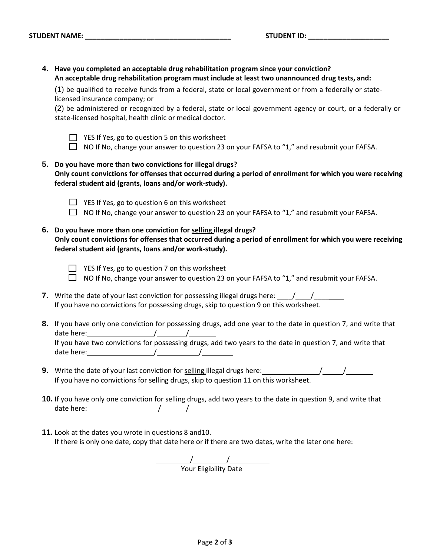**4. Have you completed an acceptable drug rehabilitation program since your conviction? An acceptable drug rehabilitation program must include at least two unannounced drug tests, and:**

(1) be qualified to receive funds from a federal, state or local government or from a federally or statelicensed insurance company; or

(2) be administered or recognized by a federal, state or local government agency or court, or a federally or state-licensed hospital, health clinic or medical doctor.



- $\Box$  YES If Yes, go to question 5 on this worksheet
- $\Box$  NO If No, change your answer to question 23 on your FAFSA to "1," and resubmit your FAFSA.
- **5. Do you have more than two convictions for illegal drugs? Only count convictions for offenses that occurred during a period of enrollment for which you were receiving federal student aid (grants, loans and/or work-study).**



- $\Box$  YES If Yes, go to question 6 on this worksheet
- $\Box$  NO If No, change your answer to question 23 on your FAFSA to "1," and resubmit your FAFSA.
- **6. Do you have more than one conviction for selling illegal drugs? Only count convictions for offenses that occurred during a period of enrollment for which you were receiving federal student aid (grants, loans and/or work-study).**

- YES If Yes, go to question 7 on this worksheet
- $\Box$  NO If No, change your answer to question 23 on your FAFSA to "1," and resubmit your FAFSA.
- **7.** Write the date of your last conviction for possessing illegal drugs here:  $\frac{1}{\sqrt{1-\frac{1}{\sqrt{1-\frac{1}{\sqrt{1-\frac{1}{\sqrt{1-\frac{1}{\sqrt{1-\frac{1}{\sqrt{1-\frac{1}{\sqrt{1-\frac{1}{\sqrt{1-\frac{1}{\sqrt{1-\frac{1}{\sqrt{1-\frac{1}{\sqrt{1-\frac{1}{\sqrt{1-\frac{1}{\sqrt{1-\frac{1}{\sqrt{1-\frac{1}{\sqrt{1-\frac{1}{\$ If you have no convictions for possessing drugs, skip to question 9 on this worksheet.
- **8.** If you have only one conviction for possessing drugs, add one year to the date in question 7, and write that date here: / / If you have two convictions for possessing drugs, add two years to the date in question 7, and write that date here: / /
- **9.** Write the date of your last conviction for selling illegal drugs here: / / If you have no convictions for selling drugs, skip to question 11 on this worksheet.
- **10.** If you have only one conviction for selling drugs, add two years to the date in question 9, and write that date here: / /
- **11.** Look at the dates you wrote in questions 8 and10. If there is only one date, copy that date here or if there are two dates, write the later one here:

/\_\_\_\_\_\_\_\_\_\_/ Your Eligibility Date